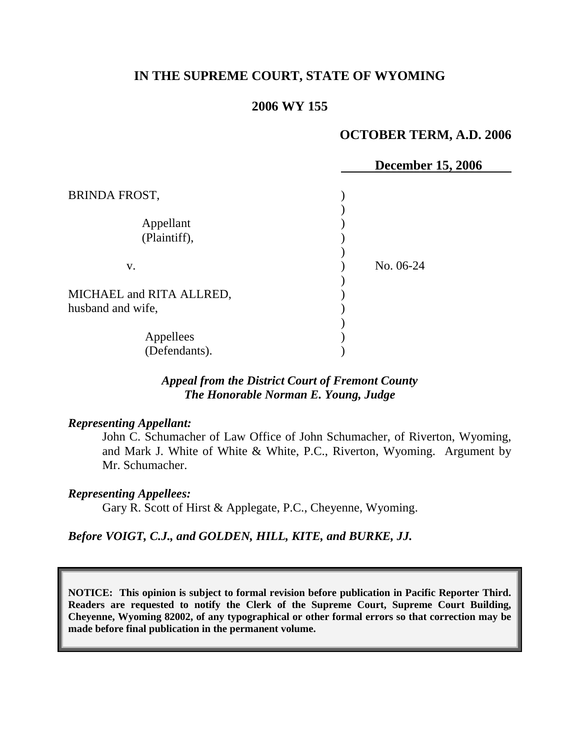## **IN THE SUPREME COURT, STATE OF WYOMING**

### **2006 WY 155**

### **OCTOBER TERM, A.D. 2006**

 $\,$ , 2006

|                          | December 15 |
|--------------------------|-------------|
| <b>BRINDA FROST,</b>     |             |
|                          |             |
| Appellant                |             |
| (Plaintiff),             |             |
|                          |             |
| V.                       | No. 06-24   |
|                          |             |
| MICHAEL and RITA ALLRED, |             |
| husband and wife,        |             |
|                          |             |
| Appellees                |             |
| (Defendants).            |             |

## *Appeal from the District Court of Fremont County The Honorable Norman E. Young, Judge*

#### *Representing Appellant:*

John C. Schumacher of Law Office of John Schumacher, of Riverton, Wyoming, and Mark J. White of White & White, P.C., Riverton, Wyoming. Argument by Mr. Schumacher.

#### *Representing Appellees:*

Gary R. Scott of Hirst & Applegate, P.C., Cheyenne, Wyoming.

*Before VOIGT, C.J., and GOLDEN, HILL, KITE, and BURKE, JJ.*

**NOTICE: This opinion is subject to formal revision before publication in Pacific Reporter Third. Readers are requested to notify the Clerk of the Supreme Court, Supreme Court Building, Cheyenne, Wyoming 82002, of any typographical or other formal errors so that correction may be made before final publication in the permanent volume.**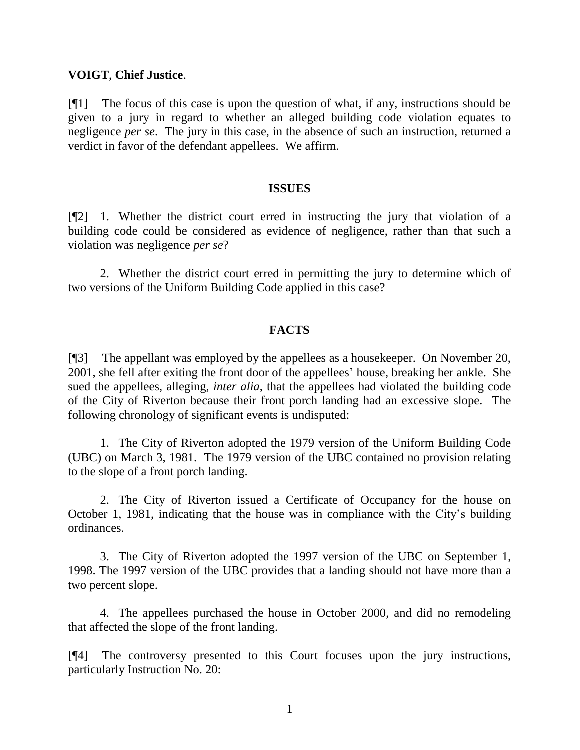### **VOIGT**, **Chief Justice**.

[¶1] The focus of this case is upon the question of what, if any, instructions should be given to a jury in regard to whether an alleged building code violation equates to negligence *per se*. The jury in this case, in the absence of such an instruction, returned a verdict in favor of the defendant appellees. We affirm.

#### **ISSUES**

[¶2] 1. Whether the district court erred in instructing the jury that violation of a building code could be considered as evidence of negligence, rather than that such a violation was negligence *per se*?

2. Whether the district court erred in permitting the jury to determine which of two versions of the Uniform Building Code applied in this case?

### **FACTS**

[¶3] The appellant was employed by the appellees as a housekeeper. On November 20, 2001, she fell after exiting the front door of the appellees' house, breaking her ankle. She sued the appellees, alleging, *inter alia*, that the appellees had violated the building code of the City of Riverton because their front porch landing had an excessive slope. The following chronology of significant events is undisputed:

1. The City of Riverton adopted the 1979 version of the Uniform Building Code (UBC) on March 3, 1981. The 1979 version of the UBC contained no provision relating to the slope of a front porch landing.

2. The City of Riverton issued a Certificate of Occupancy for the house on October 1, 1981, indicating that the house was in compliance with the City's building ordinances.

3. The City of Riverton adopted the 1997 version of the UBC on September 1, 1998. The 1997 version of the UBC provides that a landing should not have more than a two percent slope.

4. The appellees purchased the house in October 2000, and did no remodeling that affected the slope of the front landing.

[¶4] The controversy presented to this Court focuses upon the jury instructions, particularly Instruction No. 20: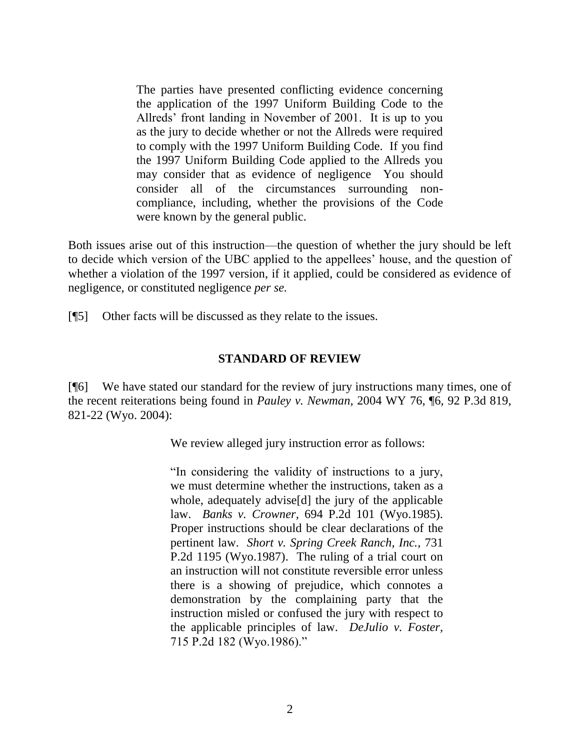The parties have presented conflicting evidence concerning the application of the 1997 Uniform Building Code to the Allreds' front landing in November of 2001. It is up to you as the jury to decide whether or not the Allreds were required to comply with the 1997 Uniform Building Code. If you find the 1997 Uniform Building Code applied to the Allreds you may consider that as evidence of negligence You should consider all of the circumstances surrounding noncompliance, including, whether the provisions of the Code were known by the general public.

Both issues arise out of this instruction—the question of whether the jury should be left to decide which version of the UBC applied to the appellees' house, and the question of whether a violation of the 1997 version, if it applied, could be considered as evidence of negligence, or constituted negligence *per se.*

[¶5] Other facts will be discussed as they relate to the issues.

## **STANDARD OF REVIEW**

[¶6] We have stated our standard for the review of jury instructions many times, one of the recent reiterations being found in *Pauley v. Newman,* 2004 WY 76, ¶6, 92 P.3d 819, 821-22 (Wyo. 2004):

We review alleged jury instruction error as follows:

"In considering the validity of instructions to a jury, we must determine whether the instructions, taken as a whole, adequately advise[d] the jury of the applicable law. *Banks v. Crowner,* 694 P.2d 101 (Wyo.1985). Proper instructions should be clear declarations of the pertinent law. *Short v. Spring Creek Ranch, Inc.,* 731 P.2d 1195 (Wyo.1987). The ruling of a trial court on an instruction will not constitute reversible error unless there is a showing of prejudice, which connotes a demonstration by the complaining party that the instruction misled or confused the jury with respect to the applicable principles of law. *DeJulio v. Foster,*  715 P.2d 182 (Wyo.1986)."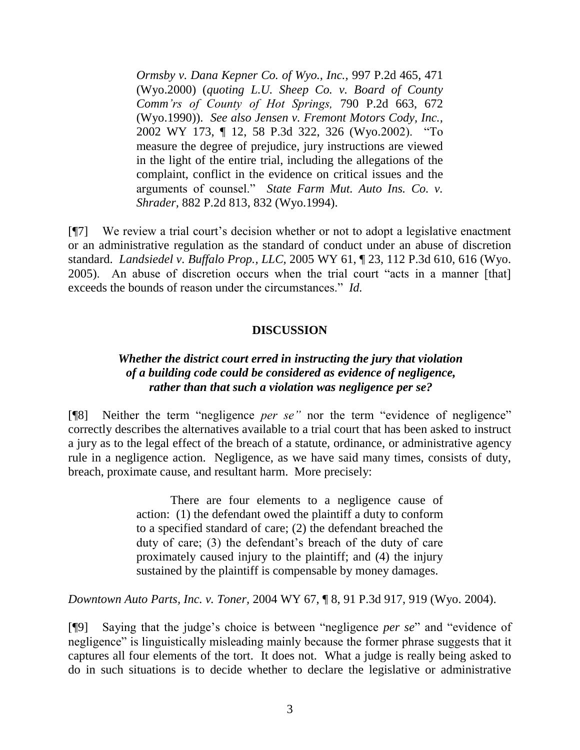*Ormsby v. Dana Kepner Co. of Wyo., Inc.,* 997 P.2d 465, 471 (Wyo.2000) (*quoting L.U. Sheep Co. v. Board of County Comm'rs of County of Hot Springs,* 790 P.2d 663, 672 (Wyo.1990)). *See also Jensen v. Fremont Motors Cody, Inc.,*  2002 WY 173, ¶ 12, 58 P.3d 322, 326 (Wyo.2002). "To measure the degree of prejudice, jury instructions are viewed in the light of the entire trial, including the allegations of the complaint, conflict in the evidence on critical issues and the arguments of counsel." *State Farm Mut. Auto Ins. Co. v. Shrader,* 882 P.2d 813, 832 (Wyo.1994).

[¶7] We review a trial court's decision whether or not to adopt a legislative enactment or an administrative regulation as the standard of conduct under an abuse of discretion standard. *Landsiedel v. Buffalo Prop., LLC,* 2005 WY 61, ¶ 23, 112 P.3d 610, 616 (Wyo. 2005). An abuse of discretion occurs when the trial court "acts in a manner [that] exceeds the bounds of reason under the circumstances." *Id.*

## **DISCUSSION**

## *Whether the district court erred in instructing the jury that violation of a building code could be considered as evidence of negligence, rather than that such a violation was negligence per se?*

[¶8] Neither the term "negligence *per se"* nor the term "evidence of negligence" correctly describes the alternatives available to a trial court that has been asked to instruct a jury as to the legal effect of the breach of a statute, ordinance, or administrative agency rule in a negligence action. Negligence, as we have said many times, consists of duty, breach, proximate cause, and resultant harm. More precisely:

> There are four elements to a negligence cause of action: (1) the defendant owed the plaintiff a duty to conform to a specified standard of care; (2) the defendant breached the duty of care; (3) the defendant's breach of the duty of care proximately caused injury to the plaintiff; and (4) the injury sustained by the plaintiff is compensable by money damages.

*Downtown Auto Parts, Inc. v. Toner,* 2004 WY 67, ¶ 8, 91 P.3d 917, 919 (Wyo. 2004).

[¶9] Saying that the judge's choice is between "negligence *per se*" and "evidence of negligence" is linguistically misleading mainly because the former phrase suggests that it captures all four elements of the tort. It does not. What a judge is really being asked to do in such situations is to decide whether to declare the legislative or administrative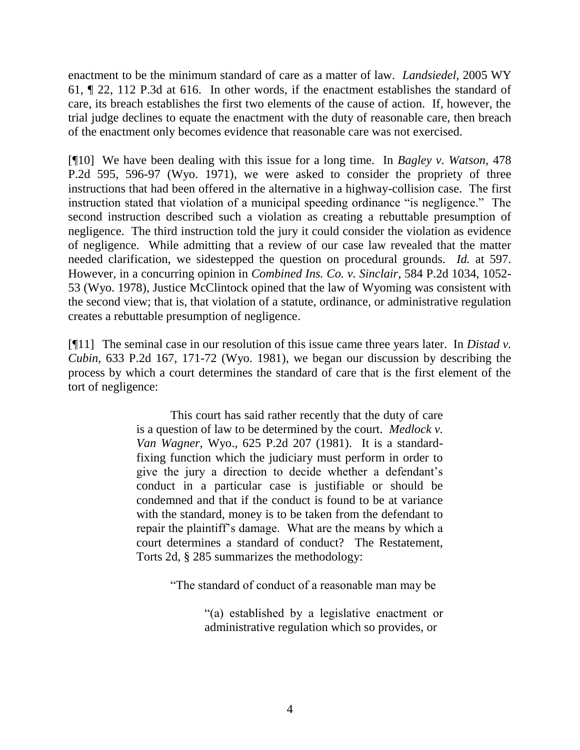enactment to be the minimum standard of care as a matter of law. *Landsiedel,* 2005 WY 61, ¶ 22, 112 P.3d at 616. In other words, if the enactment establishes the standard of care, its breach establishes the first two elements of the cause of action. If, however, the trial judge declines to equate the enactment with the duty of reasonable care, then breach of the enactment only becomes evidence that reasonable care was not exercised.

[¶10] We have been dealing with this issue for a long time. In *Bagley v. Watson,* 478 P.2d 595, 596-97 (Wyo. 1971), we were asked to consider the propriety of three instructions that had been offered in the alternative in a highway-collision case. The first instruction stated that violation of a municipal speeding ordinance "is negligence." The second instruction described such a violation as creating a rebuttable presumption of negligence. The third instruction told the jury it could consider the violation as evidence of negligence. While admitting that a review of our case law revealed that the matter needed clarification, we sidestepped the question on procedural grounds. *Id.* at 597. However, in a concurring opinion in *Combined Ins. Co. v. Sinclair,* 584 P.2d 1034, 1052- 53 (Wyo. 1978), Justice McClintock opined that the law of Wyoming was consistent with the second view; that is, that violation of a statute, ordinance, or administrative regulation creates a rebuttable presumption of negligence.

[¶11] The seminal case in our resolution of this issue came three years later. In *Distad v. Cubin,* 633 P.2d 167, 171-72 (Wyo. 1981), we began our discussion by describing the process by which a court determines the standard of care that is the first element of the tort of negligence:

> This court has said rather recently that the duty of care is a question of law to be determined by the court. *Medlock v. Van Wagner,* Wyo., 625 P.2d 207 (1981). It is a standardfixing function which the judiciary must perform in order to give the jury a direction to decide whether a defendant's conduct in a particular case is justifiable or should be condemned and that if the conduct is found to be at variance with the standard, money is to be taken from the defendant to repair the plaintiff's damage. What are the means by which a court determines a standard of conduct? The Restatement, Torts 2d, § 285 summarizes the methodology:

> > "The standard of conduct of a reasonable man may be

"(a) established by a legislative enactment or administrative regulation which so provides, or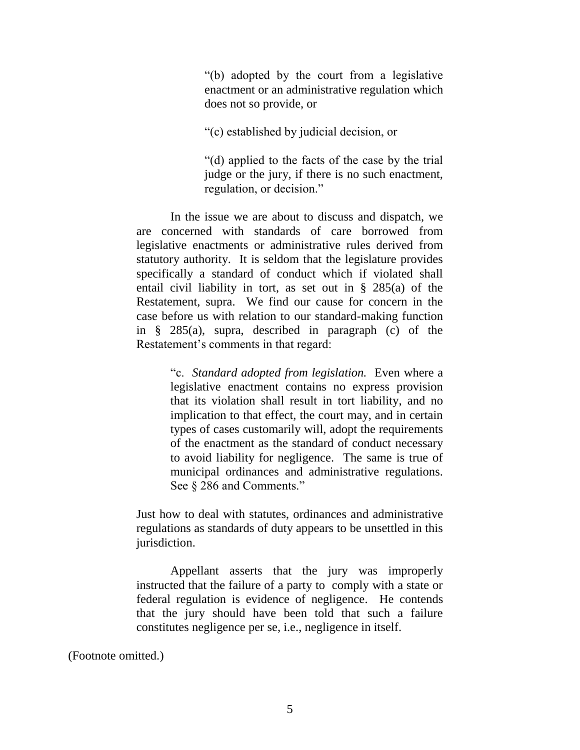"(b) adopted by the court from a legislative enactment or an administrative regulation which does not so provide, or

"(c) established by judicial decision, or

"(d) applied to the facts of the case by the trial judge or the jury, if there is no such enactment, regulation, or decision."

In the issue we are about to discuss and dispatch, we are concerned with standards of care borrowed from legislative enactments or administrative rules derived from statutory authority. It is seldom that the legislature provides specifically a standard of conduct which if violated shall entail civil liability in tort, as set out in § 285(a) of the Restatement, supra. We find our cause for concern in the case before us with relation to our standard-making function in § 285(a), supra, described in paragraph (c) of the Restatement's comments in that regard:

> "c. *Standard adopted from legislation.* Even where a legislative enactment contains no express provision that its violation shall result in tort liability, and no implication to that effect, the court may, and in certain types of cases customarily will, adopt the requirements of the enactment as the standard of conduct necessary to avoid liability for negligence. The same is true of municipal ordinances and administrative regulations. See  $\S 286$  and Comments."

Just how to deal with statutes, ordinances and administrative regulations as standards of duty appears to be unsettled in this jurisdiction.

Appellant asserts that the jury was improperly instructed that the failure of a party to comply with a state or federal regulation is evidence of negligence. He contends that the jury should have been told that such a failure constitutes negligence per se, i.e., negligence in itself.

(Footnote omitted.)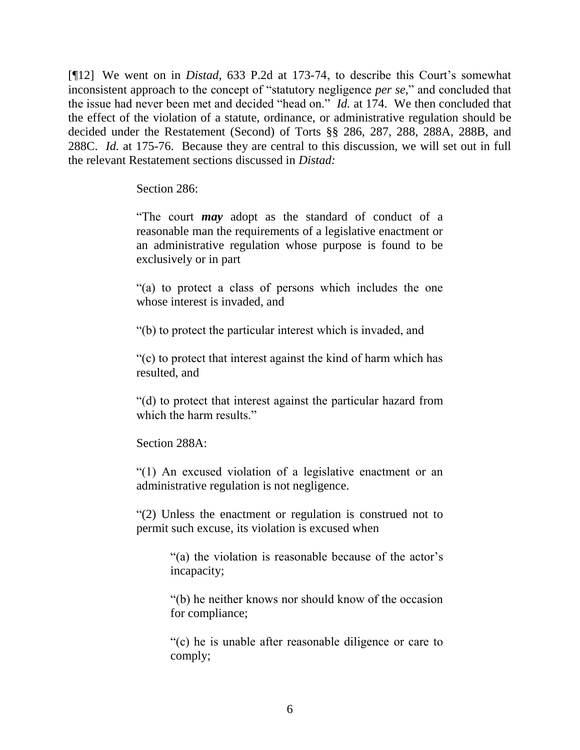[¶12] We went on in *Distad,* 633 P.2d at 173-74, to describe this Court's somewhat inconsistent approach to the concept of "statutory negligence *per se,*" and concluded that the issue had never been met and decided "head on." *Id.* at 174. We then concluded that the effect of the violation of a statute, ordinance, or administrative regulation should be decided under the Restatement (Second) of Torts §§ 286, 287, 288, 288A, 288B, and 288C. *Id.* at 175-76. Because they are central to this discussion, we will set out in full the relevant Restatement sections discussed in *Distad:*

Section 286:

"The court *may* adopt as the standard of conduct of a reasonable man the requirements of a legislative enactment or an administrative regulation whose purpose is found to be exclusively or in part

"(a) to protect a class of persons which includes the one whose interest is invaded, and

"(b) to protect the particular interest which is invaded, and

"(c) to protect that interest against the kind of harm which has resulted, and

"(d) to protect that interest against the particular hazard from which the harm results."

Section 288A:

"(1) An excused violation of a legislative enactment or an administrative regulation is not negligence.

"(2) Unless the enactment or regulation is construed not to permit such excuse, its violation is excused when

> "(a) the violation is reasonable because of the actor's incapacity;

> "(b) he neither knows nor should know of the occasion for compliance;

> "(c) he is unable after reasonable diligence or care to comply;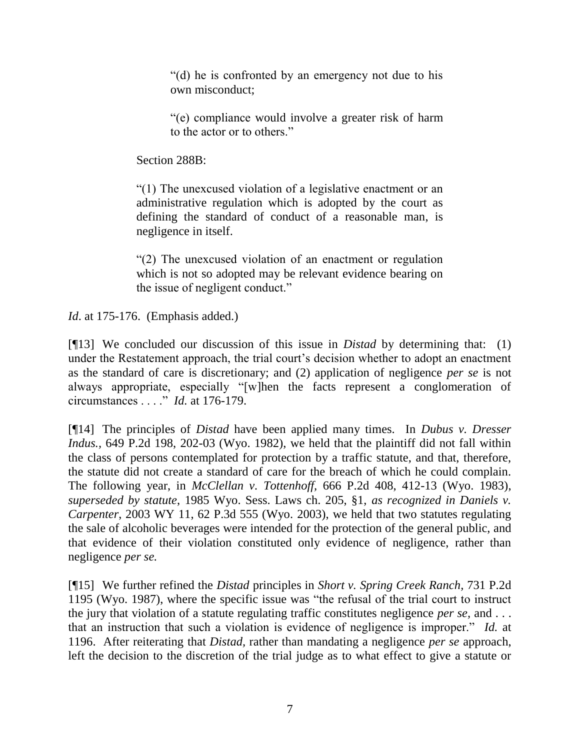"(d) he is confronted by an emergency not due to his own misconduct;

"(e) compliance would involve a greater risk of harm to the actor or to others."

Section 288B:

"(1) The unexcused violation of a legislative enactment or an administrative regulation which is adopted by the court as defining the standard of conduct of a reasonable man, is negligence in itself.

"(2) The unexcused violation of an enactment or regulation which is not so adopted may be relevant evidence bearing on the issue of negligent conduct."

*Id.* at 175-176. (Emphasis added.)

[¶13] We concluded our discussion of this issue in *Distad* by determining that: (1) under the Restatement approach, the trial court's decision whether to adopt an enactment as the standard of care is discretionary; and (2) application of negligence *per se* is not always appropriate, especially "[w]hen the facts represent a conglomeration of circumstances . . . ." *Id.* at 176-179.

[¶14] The principles of *Distad* have been applied many times. In *Dubus v. Dresser Indus.,* 649 P.2d 198, 202-03 (Wyo. 1982), we held that the plaintiff did not fall within the class of persons contemplated for protection by a traffic statute, and that, therefore, the statute did not create a standard of care for the breach of which he could complain. The following year, in *McClellan v. Tottenhoff,* 666 P.2d 408, 412-13 (Wyo. 1983), *superseded by statute*, 1985 Wyo. Sess. Laws ch. 205, §1, *as recognized in Daniels v. Carpenter*, 2003 WY 11, 62 P.3d 555 (Wyo. 2003), we held that two statutes regulating the sale of alcoholic beverages were intended for the protection of the general public, and that evidence of their violation constituted only evidence of negligence, rather than negligence *per se.*

[¶15] We further refined the *Distad* principles in *Short v. Spring Creek Ranch,* 731 P.2d 1195 (Wyo. 1987), where the specific issue was "the refusal of the trial court to instruct the jury that violation of a statute regulating traffic constitutes negligence *per se,* and . . . that an instruction that such a violation is evidence of negligence is improper." *Id.* at 1196. After reiterating that *Distad,* rather than mandating a negligence *per se* approach, left the decision to the discretion of the trial judge as to what effect to give a statute or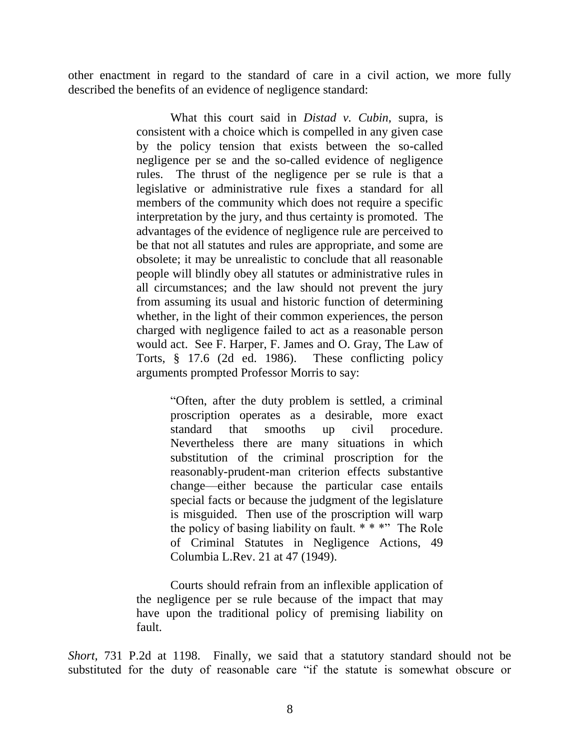other enactment in regard to the standard of care in a civil action, we more fully described the benefits of an evidence of negligence standard:

> What this court said in *Distad v. Cubin*, supra, is consistent with a choice which is compelled in any given case by the policy tension that exists between the so-called negligence per se and the so-called evidence of negligence rules. The thrust of the negligence per se rule is that a legislative or administrative rule fixes a standard for all members of the community which does not require a specific interpretation by the jury, and thus certainty is promoted. The advantages of the evidence of negligence rule are perceived to be that not all statutes and rules are appropriate, and some are obsolete; it may be unrealistic to conclude that all reasonable people will blindly obey all statutes or administrative rules in all circumstances; and the law should not prevent the jury from assuming its usual and historic function of determining whether, in the light of their common experiences, the person charged with negligence failed to act as a reasonable person would act. See F. Harper, F. James and O. Gray, The Law of Torts, § 17.6 (2d ed. 1986). These conflicting policy arguments prompted Professor Morris to say:

> > "Often, after the duty problem is settled, a criminal proscription operates as a desirable, more exact standard that smooths up civil procedure. Nevertheless there are many situations in which substitution of the criminal proscription for the reasonably-prudent-man criterion effects substantive change—either because the particular case entails special facts or because the judgment of the legislature is misguided. Then use of the proscription will warp the policy of basing liability on fault.  $***$  The Role of Criminal Statutes in Negligence Actions, 49 Columbia L.Rev. 21 at 47 (1949).

Courts should refrain from an inflexible application of the negligence per se rule because of the impact that may have upon the traditional policy of premising liability on fault.

*Short,* 731 P.2d at 1198. Finally, we said that a statutory standard should not be substituted for the duty of reasonable care "if the statute is somewhat obscure or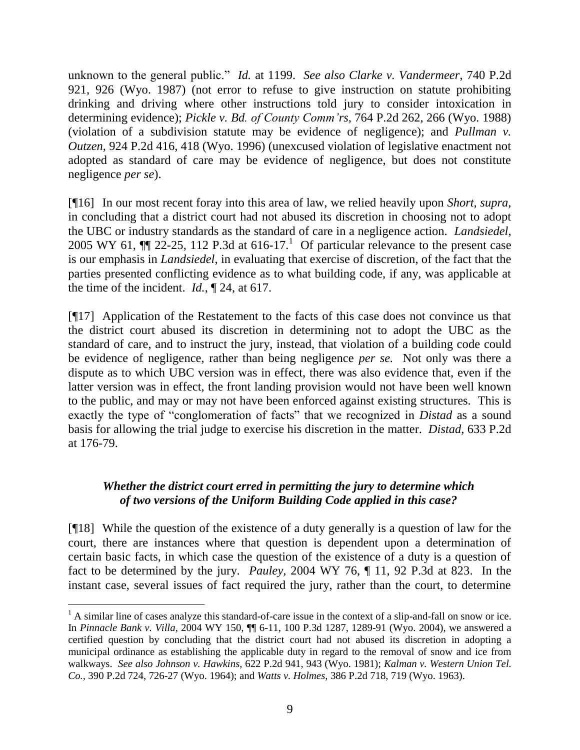unknown to the general public." *Id.* at 1199. *See also Clarke v. Vandermeer*, 740 P.2d 921, 926 (Wyo. 1987) (not error to refuse to give instruction on statute prohibiting drinking and driving where other instructions told jury to consider intoxication in determining evidence); *Pickle v. Bd. of County Comm'rs,* 764 P.2d 262, 266 (Wyo. 1988) (violation of a subdivision statute may be evidence of negligence); and *Pullman v. Outzen,* 924 P.2d 416, 418 (Wyo. 1996) (unexcused violation of legislative enactment not adopted as standard of care may be evidence of negligence, but does not constitute negligence *per se*).

[¶16] In our most recent foray into this area of law, we relied heavily upon *Short, supra,*  in concluding that a district court had not abused its discretion in choosing not to adopt the UBC or industry standards as the standard of care in a negligence action. *Landsiedel*, 2005 WY 61,  $\P$  22-25, 112 P.3d at 616-17.<sup>1</sup> Of particular relevance to the present case is our emphasis in *Landsiedel*, in evaluating that exercise of discretion, of the fact that the parties presented conflicting evidence as to what building code, if any, was applicable at the time of the incident. *Id.*, ¶ 24, at 617.

[¶17] Application of the Restatement to the facts of this case does not convince us that the district court abused its discretion in determining not to adopt the UBC as the standard of care, and to instruct the jury, instead, that violation of a building code could be evidence of negligence, rather than being negligence *per se.* Not only was there a dispute as to which UBC version was in effect, there was also evidence that, even if the latter version was in effect, the front landing provision would not have been well known to the public, and may or may not have been enforced against existing structures. This is exactly the type of "conglomeration of facts" that we recognized in *Distad* as a sound basis for allowing the trial judge to exercise his discretion in the matter. *Distad*, 633 P.2d at 176-79.

# *Whether the district court erred in permitting the jury to determine which of two versions of the Uniform Building Code applied in this case?*

[¶18] While the question of the existence of a duty generally is a question of law for the court, there are instances where that question is dependent upon a determination of certain basic facts, in which case the question of the existence of a duty is a question of fact to be determined by the jury. *Pauley,* 2004 WY 76, ¶ 11, 92 P.3d at 823. In the instant case, several issues of fact required the jury, rather than the court, to determine

 $<sup>1</sup>$  A similar line of cases analyze this standard-of-care issue in the context of a slip-and-fall on snow or ice.</sup> In *Pinnacle Bank v. Villa,* 2004 WY 150, ¶¶ 6-11, 100 P.3d 1287, 1289-91 (Wyo. 2004), we answered a certified question by concluding that the district court had not abused its discretion in adopting a municipal ordinance as establishing the applicable duty in regard to the removal of snow and ice from walkways. *See also Johnson v. Hawkins,* 622 P.2d 941, 943 (Wyo. 1981); *Kalman v. Western Union Tel. Co.,* 390 P.2d 724, 726-27 (Wyo. 1964); and *Watts v. Holmes,* 386 P.2d 718, 719 (Wyo. 1963).